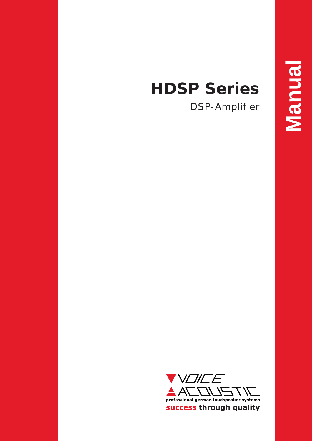# **HDSP Series**

DSP-Amplifier

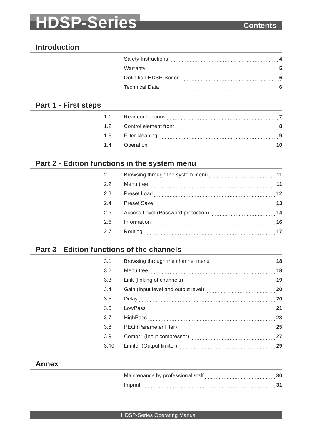# **HDSP-Series Contents**

# **Introduction**

| Safety Instructions    |  |
|------------------------|--|
|                        |  |
| Definition HDSP-Series |  |
| <b>Technical Data</b>  |  |
|                        |  |

# **Part 1 - First steps**

| Rear connections      |                  |
|-----------------------|------------------|
| Control element front |                  |
|                       |                  |
|                       |                  |
| 1.2                   | 1.1<br>Operation |

# **Part 2 - Edition functions in the system menu**

| 2.1     |  |
|---------|--|
| 2.2     |  |
| $2.3\,$ |  |
| 2.4     |  |
| 2.5     |  |
| 2.6     |  |
| 2.7     |  |
|         |  |

# **Part 3 - Edition functions of the channels**

| 3.1  |  |
|------|--|
| 3.2  |  |
| 3.3  |  |
| 3.4  |  |
| 3.5  |  |
| 3.6  |  |
| 3.7  |  |
| 3.8  |  |
| 3.9  |  |
| 3.10 |  |
|      |  |

## **Annex**

| Maintenance by professional staff |  |
|-----------------------------------|--|
| Imprint                           |  |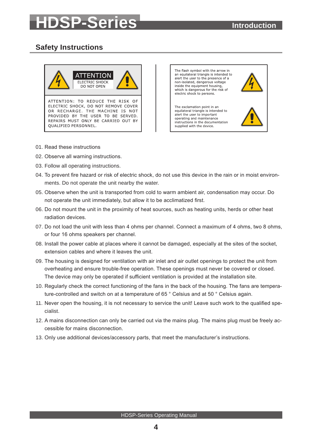# <span id="page-3-0"></span>**HDSP-Series Introduction**

# <span id="page-3-1"></span>**Safety Instructions**



The flash symbol with the arrow in an equilateral triangle is intended to<br>alert the user to the presence of a non-isolated, dangerous voltage inside the equipment housing. which is dangerous for the risk of electric shock to persons.

The exclamation point in an equilateral triangle is intended to alert the user to important operating and maintenance instructions in the documentation supplied with the device.



- 01. Read these instructions
- 02. Observe all warning instructions.
- 03. Follow all operating instructions.
- 04. To prevent fire hazard or risk of electric shock, do not use this device in the rain or in moist environments. Do not operate the unit nearby the water.
- 05. Observe when the unit is transported from cold to warm ambient air, condensation may occur. Do not operate the unit immediately, but allow it to be acclimatized first.
- 06. Do not mount the unit in the proximity of heat sources, such as heating units, herds or other heat radiation devices.
- 07. Do not load the unit with less than 4 ohms per channel. Connect a maximum of 4 ohms, two 8 ohms, or four 16 ohms speakers per channel.
- 08. Install the power cable at places where it cannot be damaged, especially at the sites of the socket, extension cables and where it leaves the unit.
- 09. The housing is designed for ventilation with air inlet and air outlet openings to protect the unit from overheating and ensure trouble-free operation. These openings must never be covered or closed. The device may only be operated if sufficient ventilation is provided at the installation site.
- 10. Regularly check the correct functioning of the fans in the back of the housing. The fans are temperature-controlled and switch on at a temperature of 65 ° Celsius and at 50 ° Celsius again.
- 11. Never open the housing, it is not necessary to service the unit! Leave such work to the qualified specialist.
- 12. A mains disconnection can only be carried out via the mains plug. The mains plug must be freely accessible for mains disconnection.
- 13. Only use additional devices/accessory parts, that meet the manufacturer's instructions.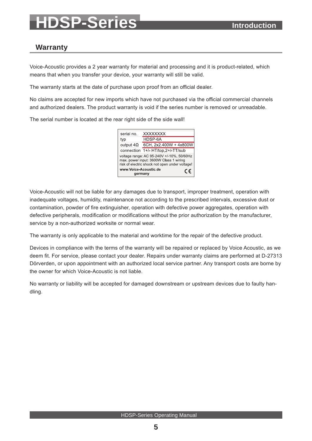# **HDSP-Series Introduction**

# <span id="page-4-0"></span>**Warranty**

Voice-Acoustic provides a 2 year warranty for material and processing and it is product-related, which means that when you transfer your device, your warranty will still be valid.

The warranty starts at the date of purchase upon proof from an official dealer.

No claims are accepted for new imports which have not purchased via the official commercial channels and authorized dealers. The product warranty is void if the series number is removed or unreadable.

The serial number is located at the rear right side of the side wall!



Voice-Acoustic will not be liable for any damages due to transport, improper treatment, operation with inadequate voltages, humidity, maintenance not according to the prescribed intervals, excessive dust or contamination, powder of fire extinguisher, operation with defective power aggregates, operation with defective peripherals, modification or modifications without the prior authorization by the manufacturer, service by a non-authorized worksite or normal wear.

The warranty is only applicable to the material and worktime for the repair of the defective product.

Devices in compliance with the terms of the warranty will be repaired or replaced by Voice Acoustic, as we deem fit. For service, please contact your dealer. Repairs under warranty claims are performed at D-27313 Dörverden, or upon appointment with an authorized local service partner. Any transport costs are borne by the owner for which Voice-Acoustic is not liable.

No warranty or liability will be accepted for damaged downstream or upstream devices due to faulty handling.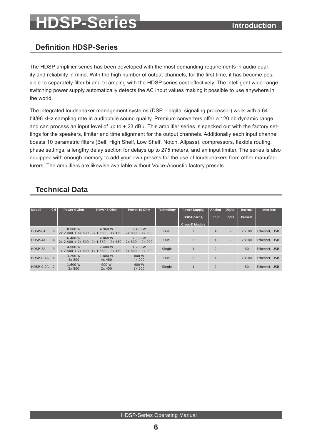# <span id="page-5-1"></span>**SP-Series Introduction**

# <span id="page-5-0"></span>**Definition HDSP-Series**

The HDSP amplifier series has been developed with the most demanding requirements in audio quality and reliability in mind. With the high number of output channels, for the first time, it has become possible to separately filter bi and tri amping with the HDSP series cost effectively. The intelligent wide-range switching power supply automatically detects the AC input values making it possible to use anywhere in the world.

The integrated loudspeaker management systems (DSP – digital signaling processor) work with a 64 bit/96 kHz sampling rate in audiophile sound quality. Premium converters offer a 120 db dynamic range and can process an input level of up to + 23 dBu. This amplifier series is specked out with the factory settings for the speakers, limiter and time alignment for the output channels. Additionally each input channel boasts 10 parametric filters (Bell, High Shelf, Low Shelf, Notch, Allpass), compressors, flexible routing, phase settings, a lengthy delay section for delays up to 275 meters, and an input limiter. The series is also equipped with enough memory to add your own presets for the use of loudspeakers from other manufacturers. The amplifiers are likewise available without Voice-Acoustic factory presets.

# <span id="page-5-2"></span>**Technical Data**

| <b>Modell</b> | CH.            | Power 4 Ohm                    | Power 8 Ohm                           | Power 16 Ohm               | <b>Technology</b> | Power Supply,         | Analog                   | <b>Digital</b> | <b>Internal</b> | Interface     |
|---------------|----------------|--------------------------------|---------------------------------------|----------------------------|-------------------|-----------------------|--------------------------|----------------|-----------------|---------------|
|               |                |                                |                                       |                            |                   | DSP-Boards,           | Input                    | <b>Input</b>   | <b>Presets</b>  |               |
|               |                |                                |                                       |                            |                   | <b>Class-D Module</b> |                          |                |                 |               |
| HDSP-6A       | 6              | 8,000 W<br>$2x 2.400 + 4x 800$ | 4.960 W<br>$2x 1.580 + 4x 450$        | 2.400 W<br>$2x800 + 4x200$ | Dual              | $\overline{2}$        | $\overline{4}$           | ۰              | $2 \times 80$   | Ethernet, USB |
| HDSP-4A       | $\overline{4}$ | 6.400 W<br>$2x 2.400 + 2x 800$ | 4.060 W<br>$2x 1.580 + 2x 450$        | 2,000 W<br>$2x800 + 2x200$ | Dual              | $\overline{2}$        | $\overline{4}$           | ۰              | $2 \times 80$   | Ethernet, USB |
| HDSP-3A       | 3              | 4.000 W<br>$1x$ 2.400 + 2x 800 | 2.480 W<br>$.580 + 2x 450$<br>$1x$ 1. | 1.200 W<br>$1x800 + 2x200$ | Single            |                       | $\overline{\mathcal{L}}$ | ۰              | 80              | Ethernet, USB |
| HDSP-0.4A     | $\overline{4}$ | 3.200 W<br>4x 800              | 1.800 W<br>4x 450                     | 800 W<br>4x 200            | Dual              | $\overline{2}$        | $\overline{4}$           | ۰              | $2 \times 80$   | Ethernet, USB |
| $HDSP-0.2A$   | $\mathfrak{D}$ | 1.600 W<br>2x 800              | 900 W<br>2x 450                       | 400 W<br>2x 200            | Single            |                       |                          | ۰              | 80              | Ethernet, USB |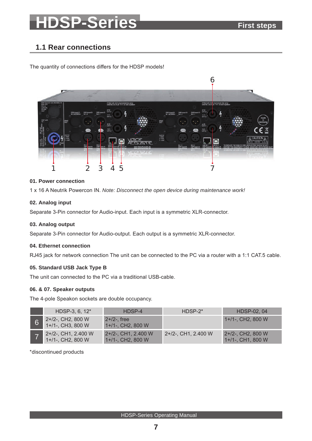# <span id="page-6-0"></span>**SP-Series** First steps

# <span id="page-6-1"></span>**1.1 Rear connections**

The quantity of connections differs for the HDSP models!



#### **01. Power connection**

1 x 16 A Neutrik Powercon IN. *Note: Disconnect the open device during maintenance work!*

#### **02. Analog input**

Separate 3-Pin connector for Audio-input. Each input is a symmetric XLR-connector.

#### **03. Analog output**

Separate 3-Pin connector for Audio-output. Each output is a symmetric XLR-connector.

#### **04. Ethernet connection**

RJ45 jack for network connection The unit can be connected to the PC via a router with a 1:1 CAT.5 cable.

#### **05. Standard USB Jack Type B**

The unit can connected to the PC via a traditional USB-cable.

#### **06. & 07. Speaker outputs**

The 4-pole Speakon sockets are double occupancy.

| HDSP-3, $6, 12^*$                          | HDSP-4                                    | $HDSP-2*$           | HDSP-02, 04                            |
|--------------------------------------------|-------------------------------------------|---------------------|----------------------------------------|
| 2+/2-, CH2, 800 W<br>$1+1-$ , CH3, 800 W   | $2 + 12 -$ . free<br>$1+$ /1-, CH2, 800 W |                     | $1+$ /1-, CH2, 800 W                   |
| 2+/2-, CH1, 2.400 W<br>$1+1-$ , CH2, 800 W | 2+/2-, CH1, 2.400 W<br>1+/1-, CH2, 800 W  | 2+/2-, CH1, 2.400 W | 2+/2-, CH2, 800 W<br>1+/1-, CH1, 800 W |

\*discontinued products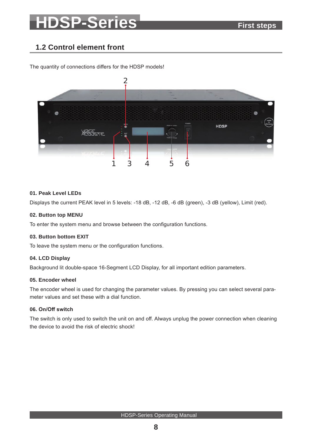# **HDSP-Series First steps**

# <span id="page-7-0"></span>**1.2 Control element front**

 $\mathcal{P}$ **HDSP** ILE<br>COUSTIC 1 3 4 5 6 3

The quantity of connections differs for the HDSP models!

#### **01. Peak Level LEDs**

Displays the current PEAK level in 5 levels: -18 dB, -12 dB, -6 dB (green), -3 dB (yellow), Limit (red).

#### **02. Button top MENU**

To enter the system menu and browse between the configuration functions.

#### **03. Button bottom EXIT**

To leave the system menu or the configuration functions.

#### **04. LCD Display**

Background lit double-space 16-Segment LCD Display, for all important edition parameters.

#### **05. Encoder wheel**

The encoder wheel is used for changing the parameter values. By pressing you can select several parameter values and set these with a dial function.

#### **06. On/Off switch**

The switch is only used to switch the unit on and off. Always unplug the power connection when cleaning the device to avoid the risk of electric shock!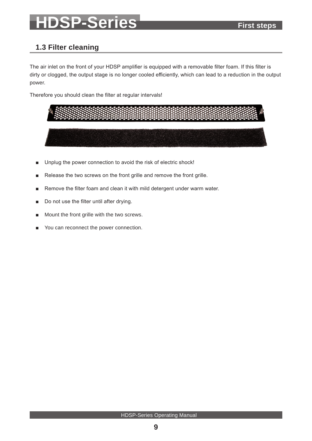# **SP-Series** First steps

# <span id="page-8-0"></span>**1.3 Filter cleaning**

The air inlet on the front of your HDSP amplifier is equipped with a removable filter foam. If this filter is dirty or clogged, the output stage is no longer cooled efficiently, which can lead to a reduction in the output power.

Therefore you should clean the filter at regular intervals!

- Unplug the power connection to avoid the risk of electric shock!
- Release the two screws on the front grille and remove the front grille.
- Remove the filter foam and clean it with mild detergent under warm water.
- Do not use the filter until after drying.
- Mount the front grille with the two screws.
- You can reconnect the power connection.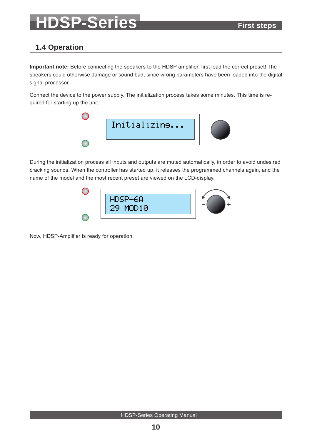# **SP-Series First steps**

# <span id="page-9-0"></span>**1.4 Operation**

**Important note:** Before connecting the speakers to the HDSP amplifier, first load the correct preset! The speakers could otherwise damage or sound bad, since wrong parameters have been loaded into the digital signal processor.

Connect the device to the power supply. The initialization process takes some minutes. This time is required for starting up the unit.



During the initialization process all inputs and outputs are muted automatically, in order to avoid undesired cracking sounds. When the controller has started up, it releases the programmed channels again, and the name of the model and the most recent preset are viewed on the LCD-display.



Now, HDSP-Amplifier is ready for operation.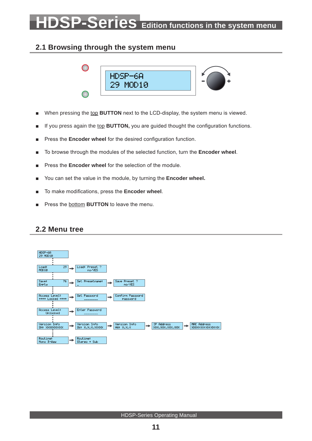# <span id="page-10-0"></span>**SP-Series Edition functions in the system menu**

# **2.1 Browsing through the system menu**

<span id="page-10-1"></span>

- When pressing the top **BUTTON** next to the LCD-display, the system menu is viewed.
- If you press again the top **BUTTON**, you are guided thought the configuration functions.
- Press the **Encoder wheel** for the desired configuration function.
- To browse through the modules of the selected function, turn the **Encoder wheel**.
- Press the **Encoder wheel** for the selection of the module.
- You can set the value in the module, by turning the **Encoder wheel.**
- To make modifications, press the **Encoder wheel**.
- Press the bottom **BUTTON** to leave the menu.

## <span id="page-10-2"></span>**2.2 Menu tree**

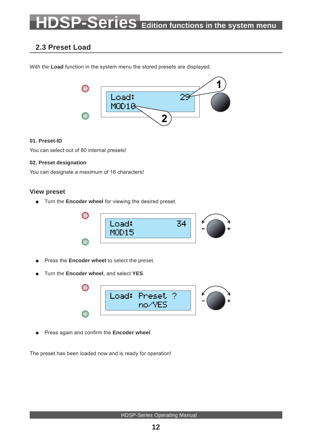# <span id="page-11-0"></span>**SP-Series** Edition functions in the system menu

# <span id="page-11-1"></span>**2.3 Preset Load**

With the **Load** function in the system menu the stored presets are displayed.



#### **01. Preset-ID**

You can select out of 80 internal presets!

#### **02. Preset designation**

You can designate a maximum of 16 characters!

### **View preset**

■ Turn the **Encoder wheel** for viewing the desired preset.



- Press the **Encoder wheel** to select the preset.
- Turn the **Encoder wheel**, and select **YES**.



■ Press again and confirm the **Encoder wheel**.

The preset has been loaded now and is ready for operation!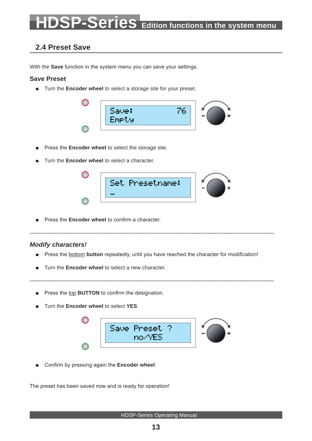# <span id="page-12-0"></span>**P-Series** Edition functions in the system menu

# <span id="page-12-1"></span>**2.4 Preset Save**

With the **Save** function in the system menu you can save your settings.

#### **Save Preset**

■ Turn the **Encoder wheel** to select a storage site for your preset.



- Press the **Encoder wheel** to select the storage site.
- Turn the **Encoder wheel** to select a character.



Press the **Encoder wheel** to confirm a character.

### *Modify characters!*

■ Press the **bottom button** repeatedly, until you have reached the character for modification!

----------------------------------------------------------------------------------------------------------------------------------------

- Turn the **Encoder wheel** to select a new character.
- Press the top **BUTTON** to confirm the designation.
- Turn the **Encoder wheel** to select **YES**.



----------------------------------------------------------------------------------------------------------------------------------------

■ Confirm by pressing again the **Encoder wheel**.

The preset has been saved now and is ready for operation!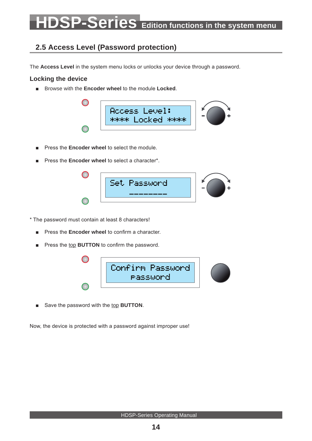# <span id="page-13-0"></span>**P-Series Edition functions in the system menu**

# <span id="page-13-1"></span>**2.5 Access Level (Password protection)**

The **Access Level** in the system menu locks or unlocks your device through a password.

### **Locking the device**

■ Browse with the **Encoder wheel** to the module **Locked**.



- Press the **Encoder wheel** to select the module.
- Press the **Encoder wheel** to select a character\*.



- \* The password must contain at least 8 characters!
	- Press the **Encoder wheel** to confirm a character.
	- Press the top **BUTTON** to confirm the password.



■ Save the password with the top BUTTON.

Now, the device is protected with a password against improper use!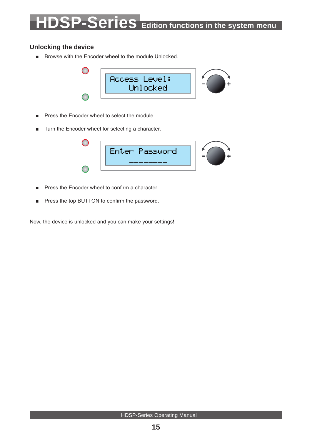### <span id="page-14-0"></span>**Unlocking the device**

■ Browse with the Encoder wheel to the module Unlocked.



- Press the Encoder wheel to select the module.
- Turn the Encoder wheel for selecting a character.



- Press the Encoder wheel to confirm a character.
- Press the top BUTTON to confirm the password.

Now, the device is unlocked and you can make your settings!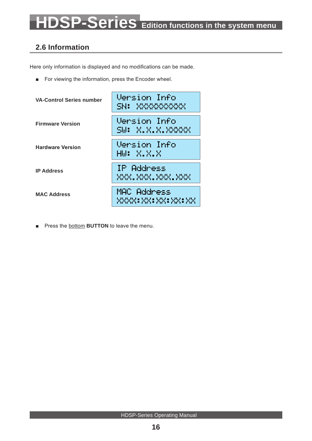# <span id="page-15-0"></span>**2.6 Information**

Here only information is displayed and no modifications can be made.

■ For viewing the information, press the Encoder wheel.



■ Press the **bottom BUTTON** to leave the menu.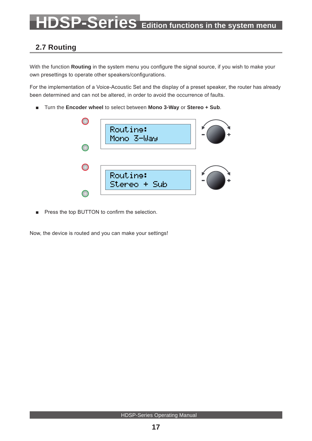# <span id="page-16-1"></span><span id="page-16-0"></span>**2.7 Routing**

With the function **Routing** in the system menu you configure the signal source, if you wish to make your own presettings to operate other speakers/configurations.

For the implementation of a Voice-Acoustic Set and the display of a preset speaker, the router has already been determined and can not be altered, in order to avoid the occurrence of faults.

■ Turn the **Encoder wheel** to select between **Mono 3-Way** or **Stereo + Sub**.



■ Press the top BUTTON to confirm the selection.

Now, the device is routed and you can make your settings!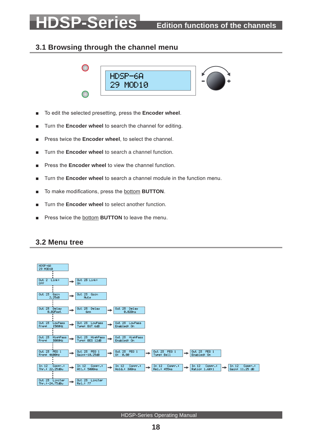# <span id="page-17-0"></span>**3.1 Browsing through the channel menu**

<span id="page-17-1"></span>

- To edit the selected presetting, press the **Encoder wheel**.
- Turn the **Encoder wheel** to search the channel for editing.
- Press twice the **Encoder wheel**, to select the channel.
- Turn the **Encoder wheel** to search a channel function.
- Press the **Encoder wheel** to view the channel function.
- Turn the **Encoder wheel** to search a channel module in the function menu.
- To make modifications, press the **bottom BUTTON**.
- Turn the **Encoder wheel** to select another function.
- Press twice the bottom **BUTTON** to leave the menu.

## <span id="page-17-2"></span>**3.2 Menu tree**

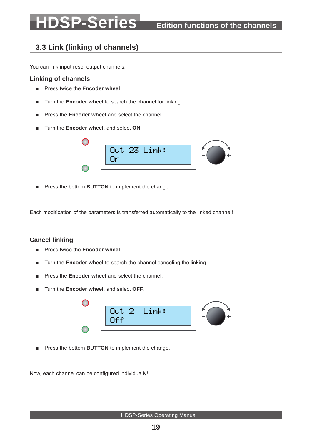# <span id="page-18-1"></span><span id="page-18-0"></span>**3.3 Link (linking of channels)**

You can link input resp. output channels.

#### **Linking of channels**

- Press twice the **Encoder wheel**.
- Turn the **Encoder wheel** to search the channel for linking.
- Press the **Encoder wheel** and select the channel.
- Turn the **Encoder wheel**, and select ON.



■ Press the **bottom BUTTON** to implement the change.

Each modification of the parameters is transferred automatically to the linked channel!

### **Cancel linking**

- Press twice the **Encoder wheel.**
- Turn the **Encoder wheel** to search the channel canceling the linking.
- Press the **Encoder wheel** and select the channel.
- Turn the **Encoder wheel**, and select **OFF**.



Press the **bottom BUTTON** to implement the change.

Now, each channel can be configured individually!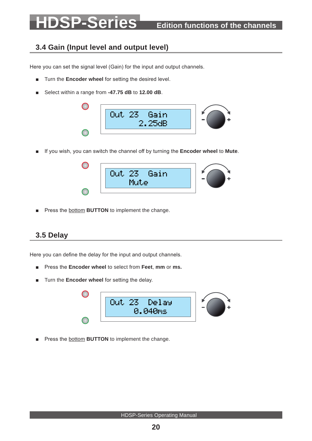# <span id="page-19-1"></span><span id="page-19-0"></span>**3.4 Gain (Input level and output level)**

Here you can set the signal level (Gain) for the input and output channels.

- Turn the **Encoder wheel** for setting the desired level.
- Select within a range from -47.75 dB to 12.00 dB.



■ If you wish, you can switch the channel off by turning the **Encoder wheel** to **Mute**.



■ Press the bottom **BUTTON** to implement the change.

## <span id="page-19-2"></span>**3.5 Delay**

Here you can define the delay for the input and output channels.

- Press the **Encoder wheel** to select from **Feet**, **mm** or **ms.**
- Turn the **Encoder wheel** for setting the delay.



Press the **bottom BUTTON** to implement the change.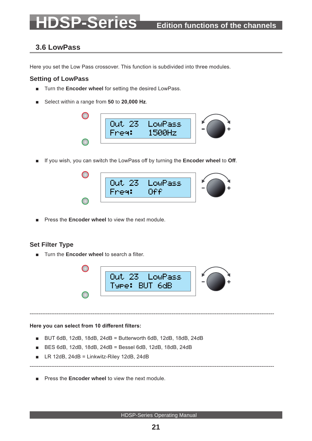# <span id="page-20-1"></span><span id="page-20-0"></span>**3.6 LowPass**

Here you set the Low Pass crossover. This function is subdivided into three modules.

### **Setting of LowPass**

- Turn the **Encoder wheel** for setting the desired LowPass.
- Select within a range from 50 to 20,000 Hz.



■ If you wish, you can switch the LowPass off by turning the **Encoder wheel** to **Off**.



Press the **Encoder wheel** to view the next module.

### **Set Filter Type**

■ Turn the **Encoder wheel** to search a filter.



----------------------------------------------------------------------------------------------------------------------------------------

----------------------------------------------------------------------------------------------------------------------------------------

**Here you can select from 10 different filters:**

- BUT 6dB, 12dB, 18dB, 24dB = Butterworth 6dB, 12dB, 18dB, 24dB
- BES 6dB, 12dB, 18dB, 24dB = Bessel 6dB, 12dB, 18dB, 24dB
- $\blacksquare$  LR 12dB, 24dB = Linkwitz-Riley 12dB, 24dB
- Press the **Encoder wheel** to view the next module.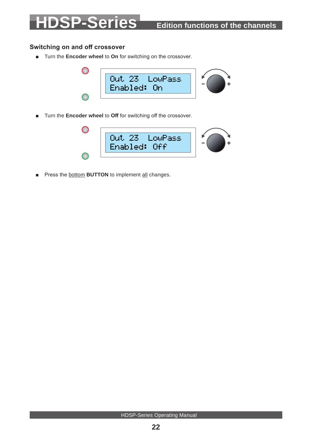## <span id="page-21-0"></span>**Switching on and off crossover**

■ Turn the **Encoder wheel** to **On** for switching on the crossover.



■ Turn the **Encoder wheel** to Off for switching off the crossover.



■ Press the **bottom BUTTON** to implement all changes.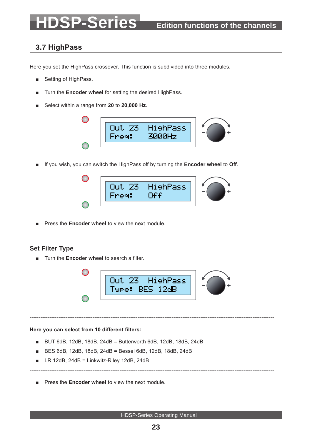# <span id="page-22-0"></span>**3.7 HighPass**

Here you set the HighPass crossover. This function is subdivided into three modules.

- Setting of HighPass.
- Turn the **Encoder wheel** for setting the desired HighPass.
- Select within a range from **20** to **20,000 Hz**.



■ If you wish, you can switch the HighPass off by turning the **Encoder wheel** to **Off**.



Press the **Encoder wheel** to view the next module.

### **Set Filter Type**

■ Turn the **Encoder wheel** to search a filter.



----------------------------------------------------------------------------------------------------------------------------------------

----------------------------------------------------------------------------------------------------------------------------------------

#### **Here you can select from 10 different filters:**

- BUT 6dB, 12dB, 18dB, 24dB = Butterworth 6dB, 12dB, 18dB, 24dB
- BES 6dB, 12dB, 18dB, 24dB = Bessel 6dB, 12dB, 18dB, 24dB
- LR 12dB, 24dB = Linkwitz-Riley 12dB, 24dB
- **Press the Encoder wheel to view the next module.**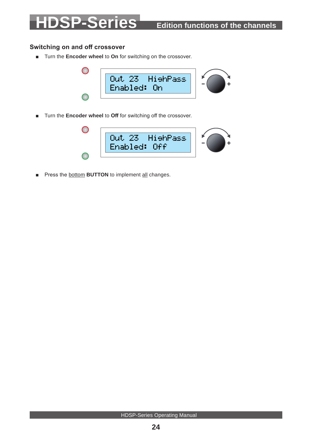## <span id="page-23-0"></span>**Switching on and off crossover**

■ Turn the **Encoder wheel** to **On** for switching on the crossover.



■ Turn the **Encoder wheel** to Off for switching off the crossover.



■ Press the **bottom BUTTON** to implement all changes.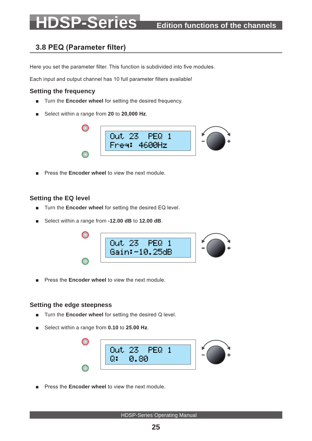# <span id="page-24-0"></span>**3.8 PEQ (Parameter filter)**

Here you set the parameter filter. This function is subdivided into five modules.

Each input and output channel has 10 full parameter filters available!

### **Setting the frequency**

- Turn the **Encoder wheel** for setting the desired frequency.
- Select within a range from 20 to 20,000 Hz.



Press the **Encoder wheel** to view the next module.

### **Setting the EQ level**

- Turn the **Encoder wheel** for setting the desired EQ level.
- Select within a range from **-12.00 dB** to **12.00 dB**.



■ Press the **Encoder wheel** to view the next module.

### **Setting the edge steepness**

- Turn the **Encoder wheel** for setting the desired Q level.
- Select within a range from **0.10** to **25.00 Hz**.



Press the **Encoder wheel** to view the next module.

### **25**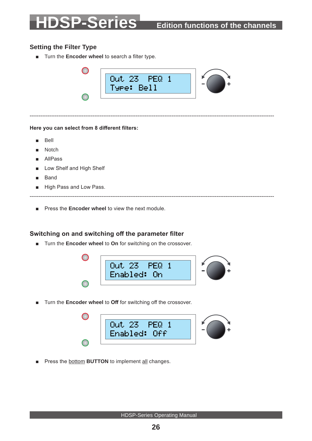### <span id="page-25-0"></span>**Setting the Filter Type**

■ Turn the **Encoder wheel** to search a filter type.



----------------------------------------------------------------------------------------------------------------------------------------

**Here you can select from 8 different filters:**

- **Bell**
- **Notch**
- AllPass
- Low Shelf and High Shelf
- **Band**
- High Pass and Low Pass.

----------------------------------------------------------------------------------------------------------------------------------------

■ Press the **Encoder wheel** to view the next module.

### **Switching on and switching off the parameter filter**

■ Turn the **Encoder wheel** to **On** for switching on the crossover.



■ Turn the **Encoder wheel** to **Off** for switching off the crossover.



■ Press the **bottom BUTTON** to implement all changes.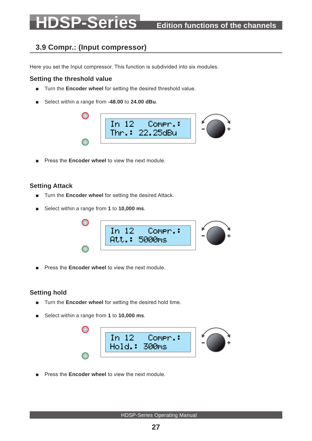# <span id="page-26-0"></span>**3.9 Compr.: (Input compressor)**

Here you set the Input compressor. This function is subdivided into six modules.

### **Setting the threshold value**

- Turn the **Encoder wheel** for setting the desired threshold value.
- Select within a range from -48.00 to 24.00 dBu.



Press the **Encoder wheel** to view the next module.

### **Setting Attack**

- Turn the **Encoder wheel** for setting the desired Attack.
- Select within a range from **1** to **10,000 ms**.



Press the **Encoder wheel** to view the next module.

### **Setting hold**

- Turn the **Encoder wheel** for setting the desired hold time.
- Select within a range from 1 to 10,000 ms.



Press the **Encoder wheel** to view the next module.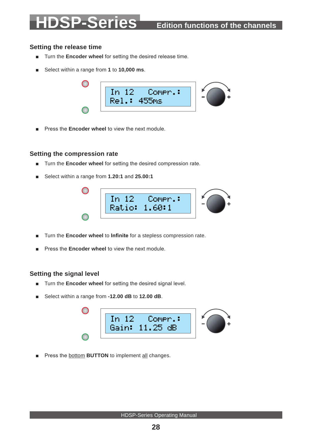## <span id="page-27-0"></span>**Setting the release time**

- Turn the **Encoder wheel** for setting the desired release time.
- Select within a range from 1 to 10,000 ms.



■ Press the **Encoder wheel** to view the next module.

### **Setting the compression rate**

- Turn the **Encoder wheel** for setting the desired compression rate.
- Select within a range from **1.20:1** and **25.00:1**



- Turn the **Encoder wheel** to **Infinite** for a stepless compression rate.
- Press the **Encoder wheel** to view the next module.

### **Setting the signal level**

- Turn the **Encoder wheel** for setting the desired signal level.
- Select within a range from **-12.00 dB** to **12.00 dB**.



Press the **bottom BUTTON** to implement all changes.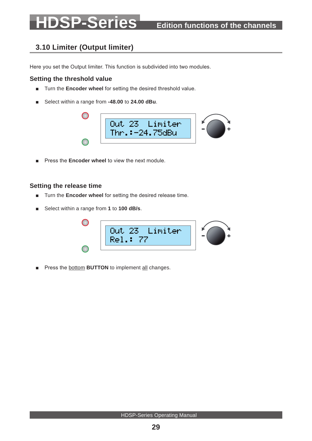# <span id="page-28-0"></span>**3.10 Limiter (Output limiter)**

Here you set the Output limiter. This function is subdivided into two modules.

### **Setting the threshold value**

- Turn the **Encoder wheel** for setting the desired threshold value.
- Select within a range from **-48.00** to **24.00 dBu**.



■ Press the **Encoder wheel** to view the next module.

### **Setting the release time**

- Turn the **Encoder wheel** for setting the desired release time.
- Select within a range from **1** to **100 dB/s**.

| : 23 Limiter<br>Out |  |
|---------------------|--|
| Rel.: 77            |  |
|                     |  |

■ Press the **bottom BUTTON** to implement all changes.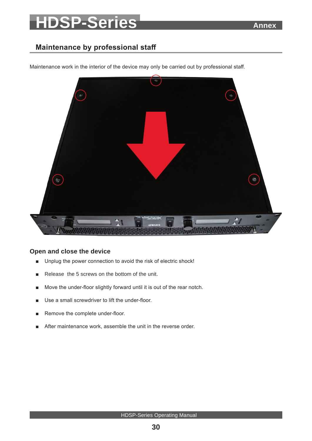# SP-Series **Annex**

# <span id="page-29-0"></span>**Maintenance by professional staff**



Maintenance work in the interior of the device may only be carried out by professional staff.

### **Open and close the device**

- Unplug the power connection to avoid the risk of electric shock!
- Release the 5 screws on the bottom of the unit.
- Move the under-floor slightly forward until it is out of the rear notch.
- Use a small screwdriver to lift the under-floor.
- Remove the complete under-floor.
- After maintenance work, assemble the unit in the reverse order.